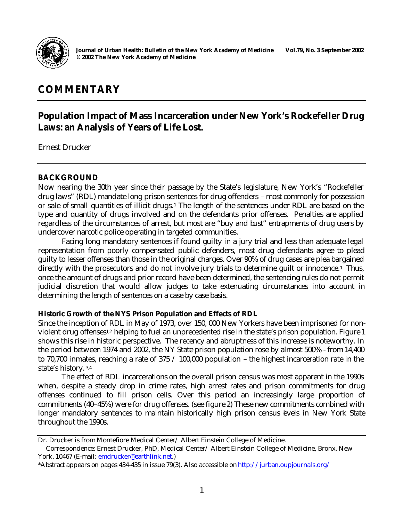

# **COMMENTARY**

## **Population Impact of Mass Incarceration under New York's Rockefeller Drug Laws: an Analysis of Years of Life Lost.**

Ernest Drucker

## **BACKGROUND**

Now nearing the 30th year since their passage by the State's legislature, New York's "Rockefeller drug laws" (RDL) mandate long prison sentences for drug offenders – most commonly for possession or sale of small quantities of illicit drugs.<sup>1</sup> The length of the sentences under RDL are based on the type and quantity of drugs involved and on the defendants prior offenses. Penalties are applied regardless of the circumstances of arrest, but most are "buy and bust" entrapments of drug users by undercover narcotic police operating in targeted communities.

Facing long mandatory sentences if found guilty in a jury trial and less than adequate legal representation from poorly compensated public defenders, most drug defendants agree to plead guilty to lesser offenses than those in the original charges. Over 90% of drug cases are plea bargained directly with the prosecutors and do not involve jury trials to determine guilt or innocence.<sup>1</sup> Thus, once the amount of drugs and prior record have been determined, the sentencing rules do not permit judicial discretion that would allow judges to take extenuating circumstances into account in determining the length of sentences on a case by case basis.

## **Historic Growth of the NYS Prison Population and Effects of RDL**

Since the inception of RDL in May of 1973, over 150, 000 New Yorkers have been imprisoned for nonviolent drug offenses<sup>1,2</sup> helping to fuel an unprecedented rise in the state's prison population. Figure 1 shows this rise in historic perspective. The recency and abruptness of this increase is noteworthy. In the period between 1974 and 2002, the NY State prison population rose by almost 500% - from 14,400 to 70,700 inmates, reaching a rate of 375 / 100,000 population – the highest incarceration rate in the state's history. 3,4

The effect of RDL incarcerations on the overall prison census was most apparent in the 1990s when, despite a steady drop in crime rates, high arrest rates and prison commitments for drug offenses continued to fill prison cells. Over this period an increasingly large proportion of commitments (40–45%) were for drug offenses. (see figure 2) These new commitments combined with longer mandatory sentences to maintain historically high prison census levels in New York State throughout the 1990s.

Dr. Drucker is from Montefiore Medical Center/ Albert Einstein College of Medicine.

Correspondence: Ernest Drucker, PhD, Medical Center/ Albert Einstein College of Medicine, Bronx, New York, 10467 (E-mail: emdrucker@earthlink.net.)

<sup>\*</sup>Abstract appears on pages 434-435 in issue 79(3). Also accessible on http://jurban.oupjournals.org/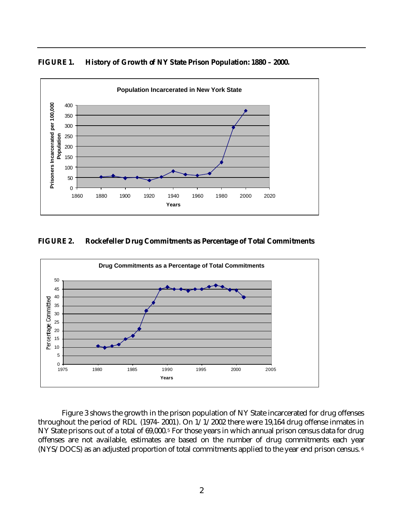



#### **FIGURE 2. Rockefeller Drug Commitments as Percentage of Total Commitments**



Figure 3 shows the growth in the prison population of NY State incarcerated for drug offenses throughout the period of RDL (1974- 2001). On 1/1/2002 there were 19,164 drug offense inmates in NY State prisons out of a total of 69,000.<sup>5</sup> For those years in which annual prison census data for drug offenses are not available, estimates are based on the number of drug commitments each year (NYS/DOCS) as an adjusted proportion of total commitments applied to the year end prison census.<sup>6</sup>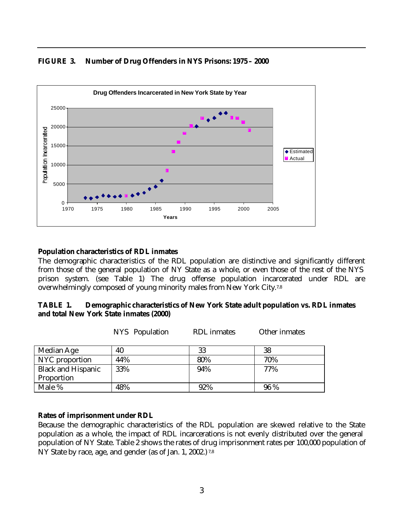## **FIGURE 3. Number of Drug Offenders in NYS Prisons: 1975 – 2000**



#### **Population characteristics of RDL inmates**

The demographic characteristics of the RDL population are distinctive and significantly different from those of the general population of NY State as a whole, or even those of the rest of the NYS prison system. (see Table 1) The drug offense population incarcerated under RDL are overwhelmingly composed of young minority males from New York City. 7,8

#### **TABLE 1. Demographic characteristics of New York State adult population vs. RDL inmates and total New York State inmates (2000)**

NYS Population RDL inmates Other inmates

| Median Age                | 40  | 33  | 38  |
|---------------------------|-----|-----|-----|
| NYC proportion            | 44% | 80% | 70% |
| <b>Black and Hispanic</b> | 33% | 94% | 77% |
| Proportion                |     |     |     |
| Male %                    | 48% | 92% | 96% |

#### **Rates of imprisonment under RDL**

Because the demographic characteristics of the RDL population are skewed relative to the State population as a whole, the impact of RDL incarcerations is not evenly distributed over the general population of NY State. Table 2 shows the rates of drug imprisonment rates per 100,000 population of NY State by race, age, and gender (as of Jan. 1, 2002.)<sup>7,8</sup>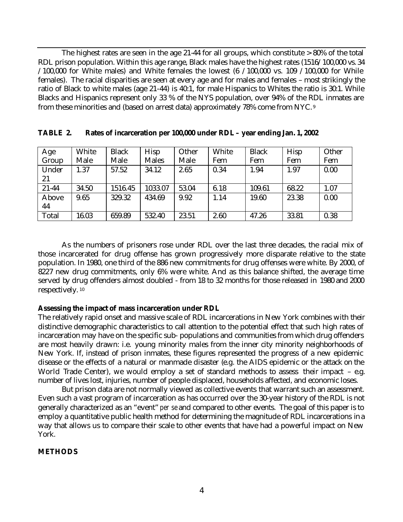The highest rates are seen in the age 21-44 for all groups, which constitute > 80% of the total RDL prison population. Within this age range, Black males have the highest rates (1516/100,000 vs. 34  $/100,000$  for White males) and White females the lowest (6  $/100,000$  vs. 109  $/100,000$  for While females). The racial disparities are seen at every age and for males and females – most strikingly the ratio of Black to white males (age 21-44) is 40:1, for male Hispanics to Whites the ratio is 30:1. While Blacks and Hispanics represent only 33 % of the NYS population, over 94% of the RDL inmates are from these minorities and (based on arrest data) approximately 78% come from NYC.<sup>9</sup>

| Age   | White | <b>Black</b> | <b>Hisp</b>  | Other | White | <b>Black</b> | <b>Hisp</b> | Other |
|-------|-------|--------------|--------------|-------|-------|--------------|-------------|-------|
| Group | Male  | Male         | <b>Males</b> | Male  | Fem   | Fem          | Fem         | Fem   |
| Under | 1.37  | 57.52        | 34.12        | 2.65  | 0.34  | 1.94         | 1.97        | 0.00  |
| 21    |       |              |              |       |       |              |             |       |
| 21-44 | 34.50 | 1516.45      | 1033.07      | 53.04 | 6.18  | 109.61       | 68.22       | 1.07  |
| Above | 9.65  | 329.32       | 434.69       | 9.92  | 1.14  | 19.60        | 23.38       | 0.00  |
| 44    |       |              |              |       |       |              |             |       |
| Total | 16.03 | 659.89       | 532.40       | 23.51 | 2.60  | 47.26        | 33.81       | 0.38  |

| TABLE 2. |  | Rates of incarceration per 100,000 under RDL - year ending Jan. 1, 2002 |
|----------|--|-------------------------------------------------------------------------|
|          |  |                                                                         |

As the numbers of prisoners rose under RDL over the last three decades, the racial mix of those incarcerated for drug offense has grown progressively more disparate relative to the state population. In 1980, one third of the 886 new commitments for drug offenses were white. By 2000, of 8227 new drug commitments, only 6% were white. And as this balance shifted, the average time served by drug offenders almost doubled - from 18 to 32 months for those released in 1980 and 2000 respectively.<sup>10</sup>

#### **Assessing the impact of mass incarceration under RDL**

The relatively rapid onset and massive scale of RDL incarcerations in New York combines with their distinctive demographic characteristics to call attention to the potential effect that such high rates of incarceration may have on the specific sub- populations and communities from which drug offenders are most heavily drawn: i.e. young minority males from the inner city minority neighborhoods of New York. If, instead of prison inmates, these figures represented the progress of a new epidemic disease or the effects of a natural or manmade disaster (e.g. the AIDS epidemic or the attack on the World Trade Center), we would employ a set of standard methods to assess their impact – e.g. number of lives lost, injuries, number of people displaced, households affected, and economic loses.

But prison data are not normally viewed as collective events that warrant such an assessment. Even such a vast program of incarceration as has occurred over the 30-year history of the RDL is not generally characterized as an "event" *per se* and compared to other events. The goal of this paper is to employ a quantitative public health method for determining the magnitude of RDL incarcerations in a way that allows us to compare their scale to other events that have had a powerful impact on New York.

#### **METHODS**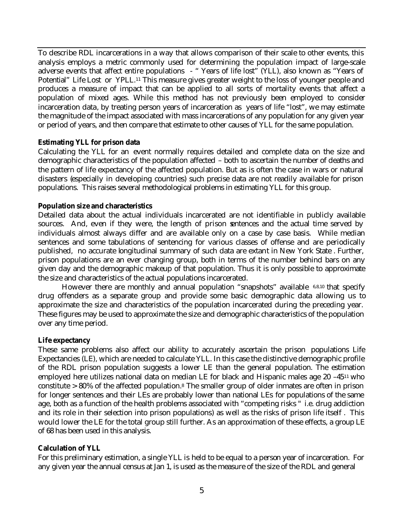To describe RDL incarcerations in a way that allows comparison of their scale to other events, this analysis employs a metric commonly used for determining the population impact of large-scale adverse events that affect entire populations - " Years of life lost" (YLL), also known as "Years of Potential" Life Lost or YPLL.<sup>11</sup> This measure gives greater weight to the loss of younger people and produces a measure of impact that can be applied to all sorts of mortality events that affect a population of mixed ages. While this method has not previously been employed to consider incarceration data, by treating person years of incarceration as years of life "lost", we may estimate the magnitude of the impact associated with mass incarcerations of any population for any given year or period of years, and then compare that estimate to other causes of YLL for the same population.

#### **Estimating YLL for prison data**

Calculating the YLL for an event normally requires detailed and complete data on the size and demographic characteristics of the population affected – both to ascertain the number of deaths and the pattern of life expectancy of the affected population. But as is often the case in wars or natural disasters (especially in developing countries) such precise data are not readily available for prison populations. This raises several methodological problems in estimating YLL for this group.

#### **Population size and characteristics**

Detailed data about the actual individuals incarcerated are not identifiable in publicly available sources. And, even if they were, the length of prison sentences and the actual time served by individuals almost always differ and are available only on a case by case basis. While median sentences and some tabulations of sentencing for various classes of offense and are periodically published, no accurate longitudinal summary of such data are extant in New York State . Further, prison populations are an ever changing group, both in terms of the number behind bars on any given day and the demographic makeup of that population. Thus it is only possible to approximate the size and characteristics of the actual populations incarcerated.

However there are monthly and annual population "snapshots" available 6,8,10 that specify drug offenders as a separate group and provide some basic demographic data allowing us to approximate the size and characteristics of the population incarcerated during the preceding year. These figures may be used to approximate the size and demographic characteristics of the population over any time period.

#### **Life expectancy**

These same problems also affect our ability to accurately ascertain the prison populations Life Expectancies (LE), which are needed to calculate YLL. In this case the distinctive demographic profile of the RDL prison population suggests a lower LE than the general population. The estimation employed here utilizes national data on median LE for black and Hispanic males age 20 –4511 who constitute > 80% of the affected population. <sup>8</sup> The smaller group of older inmates are often in prison for longer sentences and their LEs are probably lower than national LEs for populations of the same age, both as a function of the health problems associated with "competing risks " i.e. drug addiction and its role in their selection into prison populations) as well as the risks of prison life itself . This would lower the LE for the total group still further. As an approximation of these effects, a group LE of 68 has been used in this analysis.

#### **Calculation of YLL**

For this preliminary estimation, a single YLL is held to be equal to a person year of incarceration. For any given year the annual census at Jan 1, is used as the measure of the size of the RDL and general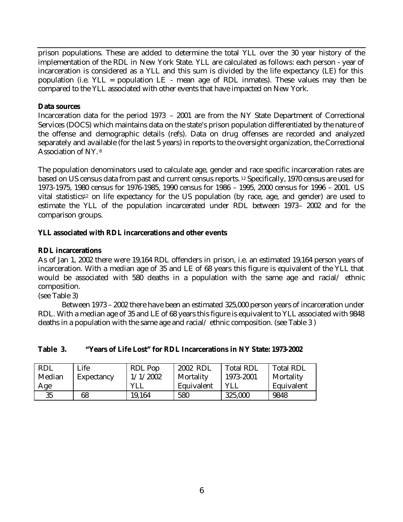prison populations. These are added to determine the total YLL over the 30 year history of the implementation of the RDL in New York State. YLL are calculated as follows: each person - year of incarceration is considered as a YLL and this sum is divided by the life expectancy (LE) for this population (i.e. YLL = population LE - mean age of RDL inmates). These values may then be compared to the YLL associated with other events that have impacted on New York.

#### **Data sources**

Incarceration data for the period 1973 – 2001 are from the NY State Department of Correctional Services (DOCS) which maintains data on the state's prison population differentiated by the nature of the offense and demographic details (refs). Data on drug offenses are recorded and analyzed separately and available (for the last 5 years) in reports to the oversight organization, the Correctional Association of NY. <sup>8</sup>

The population denominators used to calculate age, gender and race specific incarceration rates are based on US census data from past and current census reports. <sup>12</sup> Specifically, 1970 census are used for 1973-1975, 1980 census for 1976-1985, 1990 census for 1986 – 1995, 2000 census for 1996 – 2001. US vital statistics<sup>12</sup> on life expectancy for the US population (by race, age, and gender) are used to estimate the YLL of the population incarcerated under RDL between 1973– 2002 and for the comparison groups.

#### **YLL associated with RDL incarcerations and other events**

#### **RDL incarcerations**

As of Jan 1, 2002 there were 19,164 RDL offenders in prison, i.e. an estimated 19,164 person years of incarceration. With a median age of 35 and LE of 68 years this figure is equivalent of the YLL that would be associated with 580 deaths in a population with the same age and racial/ ethnic composition.

(see Table 3)

Between 1973 – 2002 there have been an estimated 325,000 person years of incarceration under RDL. With a median age of 35 and LE of 68 years this figure is equivalent to YLL associated with 9848 deaths in a population with the same age and racial/ ethnic composition. (see Table 3 )

| <b>RDL</b> | Life       | RDL Pop    | 2002 RDL   | <b>Total RDL</b> | <b>Total RDL</b> |
|------------|------------|------------|------------|------------------|------------------|
| Median     | Expectancy | 1/1/2002   | Mortality  | 1973-2001        | Mortality        |
| Age        |            | <b>YLL</b> | Equivalent | YLL              | Equivalent       |
| 35         | 68         | 19,164     | 580        | 325,000          | 9848             |

## **Table 3. "Years of Life Lost" for RDL Incarcerations in NY State: 1973-2002**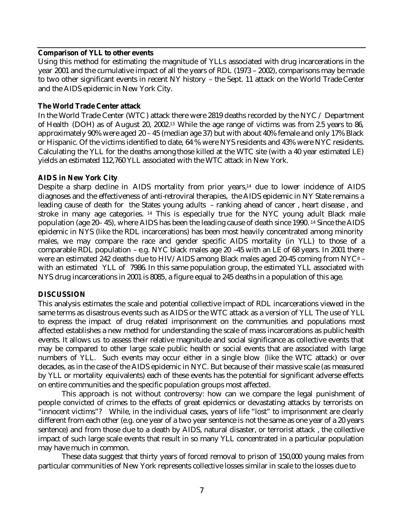#### **Comparison of YLL to other events**

Using this method for estimating the magnitude of YLLs associated with drug incarcerations in the year 2001 and the cumulative impact of all the years of RDL (1973 – 2002), comparisons may be made to two other significant events in recent NY history – the Sept. 11 attack on the World Trade Center and the AIDS epidemic in New York City.

#### **The World Trade Center attack**

In the World Trade Center (WTC) attack there were 2819 deaths recorded by the NYC / Department of Health (DOH) as of August 20, 2002.13 While the age range of victims was from 2.5 years to 86, approximately 90% were aged 20 – 45 (median age 37) but with about 40% female and only 17% Black or Hispanic. Of the victims identified to date, 64 % were NYS residents and 43% were NYC residents. Calculating the YLL for the deaths among those killed at the WTC site (with a 40 year estimated LE) yields an estimated 112,760 YLL associated with the WTC attack in New York.

#### **AIDS in New York City**

Despite a sharp decline in AIDS mortality from prior years, <sup>14</sup> due to lower incidence of AIDS diagnoses and the effectiveness of anti-retroviral therapies, the AIDS epidemic in NY State remains a leading cause of death for the States young adults – ranking ahead of cancer , heart disease , and stroke in many age categories.<sup>14</sup> This is especially true for the NYC young adult Black male population (age 20– 45), where AIDS has been the leading cause of death since 1990. <sup>14</sup> Since the AIDS epidemic in NYS (like the RDL incarcerations) has been most heavily concentrated among minority males, we may compare the race and gender specific AIDS mortality (in YLL) to those of a comparable RDL population – e.g. NYC black males age 20 –45 with an LE of 68 years. In 2001 there were an estimated 242 deaths due to HIV/AIDS among Black males aged 20-45 coming from NYC<sup>8</sup> – with an estimated YLL of 7986. In this same population group, the estimated YLL associated with NYS drug incarcerations in 2001 is 8085, a figure equal to 245 deaths in a population of this age.

## **DISCUSSION**

This analysis estimates the scale and potential collective impact of RDL incarcerations viewed in the same terms as disastrous events such as AIDS or the WTC attack as a version of YLL The use of YLL to express the impact of drug related imprisonment on the communities and populations most affected establishes a new method for understanding the scale of mass incarcerations as public health events. It allows us to assess their relative magnitude and social significance as collective events that may be compared to other large scale public health or social events that are associated with large numbers of YLL. Such events may occur either in a single blow (like the WTC attack) or over decades, as in the case of the AIDS epidemic in NYC. But because of their massive scale (as measured by YLL or mortality equivalents) each of these events has the potential for significant adverse effects on entire communities and the specific population groups most affected.

This approach is not without controversy: how can we compare the legal punishment of people convicted of crimes to the effects of great epidemics or devastating attacks by terrorists on "innocent victims"? While, in the individual cases, years of life "lost" to imprisonment are clearly different from each other (e.g. one year of a two year sentence is not the same as one year of a 20 years sentence) and from those due to a death by AIDS, natural disaster, or terrorist attack , the collective impact of such large scale events that result in so many YLL concentrated in a particular population may have much in common.

These data suggest that thirty years of forced removal to prison of 150,000 young males from particular communities of New York represents collective losses similar in scale to the losses due to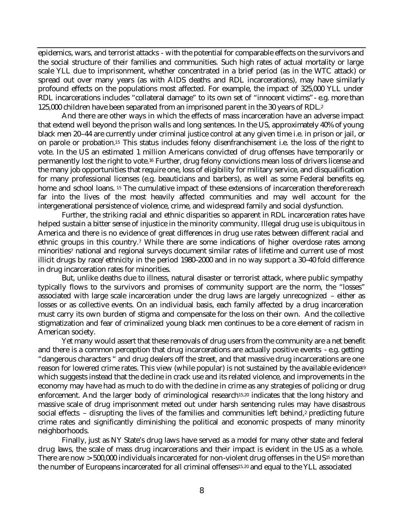epidemics, wars, and terrorist attacks - with the potential for comparable effects on the survivors and the social structure of their families and communities. Such high rates of actual mortality or large scale YLL due to imprisonment, whether concentrated in a brief period (as in the WTC attack) or spread out over many years (as with AIDS deaths and RDL incarcerations), may have similarly profound effects on the populations most affected. For example, the impact of 325,000 YLL under RDL incarcerations includes "collateral damage" to its own set of "innocent victims"- e.g. more than 125,000 children have been separated from an imprisoned parent in the 30 years of RDL. 2

And there are other ways in which the effects of mass incarceration have an adverse impact that extend well beyond the prison walls and long sentences. In the US, approximately 40% of young black men 20–44 are currently under criminal justice control at any given time i.e. in prison or jail, or on parole or probation. <sup>15</sup> This status includes felony disenfranchisement i.e. the loss of the right to vote. In the US an estimated 1 million Americans convicted of drug offenses have temporarily or permanently lost the right to vote. <sup>16</sup> Further, drug felony convictions mean loss of drivers license and the many job opportunities that require one, loss of eligibility for military service, and disqualification for many professional licenses (e.g. beauticians and barbers), as well as some Federal benefits e.g. home and school loans. <sup>15</sup> The cumulative impact of these extensions of incarceration therefore reach far into the lives of the most heavily affected communities and may well account for the intergenerational persistence of violence, crime, and widespread family and social dysfunction.

Further, the striking racial and ethnic disparities so apparent in RDL incarceration rates have helped sustain a bitter sense of injustice in the minority community. Illegal drug use is ubiquitous in America and there is no evidence of great differences in drug use rates between different racial and ethnic groups in this country. <sup>7</sup> While there are some indications of higher overdose rates among minorities7 national and regional surveys document similar rates of lifetime and current use of most illicit drugs by race/ethnicity in the period 1980–2000 and in no way support a 30–40 fold difference in drug incarceration rates for minorities.

But, unlike deaths due to illness, natural disaster or terrorist attack, where public sympathy typically flows to the survivors and promises of community support are the norm, the "losses" associated with large scale incarceration under the drug laws are largely unrecognized – either as losses or as collective events. On an individual basis, each family affected by a drug incarceration must carry its own burden of stigma and compensate for the loss on their own. And the collective stigmatization and fear of criminalized young black men continues to be a core element of racism in American society.

Yet many would assert that these removals of drug users from the community are a net benefit and there is a common perception that drug incarcerations are actually positive events - e.g. getting "dangerous characters " and drug dealers off the street, and that massive drug incarcerations are one reason for lowered crime rates. This view (while popular) is not sustained by the available evidence<sup>19</sup> which suggests instead that the decline in crack use and its related violence, and improvements in the economy may have had as much to do with the decline in crime as any strategies of policing or drug enforcement. And the larger body of criminological research15,20 indicates that the long history and massive scale of drug imprisonment meted out under harsh sentencing rules may have disastrous social effects – disrupting the lives of the families and communities left behind, <sup>2</sup> predicting future crime rates and significantly diminishing the political and economic prospects of many minority neighborhoods.

Finally, just as NY State's drug laws have served as a model for many other state and federal drug laws, the scale of mass drug incarcerations and their impact is evident in the US as a whole. There are now > 500,000 individuals incarcerated for non-violent drug offenses in the US15 more than the number of Europeans incarcerated for all criminal offenses15,20 and equal to the YLL associated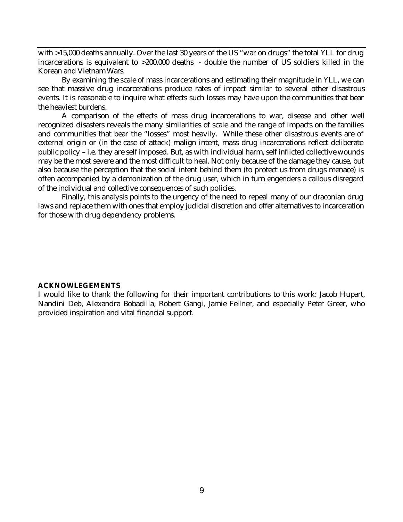with >15,000 deaths annually. Over the last 30 years of the US "war on drugs" the total YLL for drug incarcerations is equivalent to >200,000 deaths - double the number of US soldiers killed in the Korean and Vietnam Wars.

By examining the scale of mass incarcerations and estimating their magnitude in YLL, we can see that massive drug incarcerations produce rates of impact similar to several other disastrous events. It is reasonable to inquire what effects such losses may have upon the communities that bear the heaviest burdens.

A comparison of the effects of mass drug incarcerations to war, disease and other well recognized disasters reveals the many similarities of scale and the range of impacts on the families and communities that bear the "losses" most heavily. While these other disastrous events are of external origin or (in the case of attack) malign intent, mass drug incarcerations reflect deliberate public policy – i.e. they are self imposed. But, as with individual harm, self inflicted collective wounds may be the most severe and the most difficult to heal. Not only because of the damage they cause, but also because the perception that the social intent behind them (to protect us from drugs menace) is often accompanied by a demonization of the drug user, which in turn engenders a callous disregard of the individual and collective consequences of such policies.

Finally, this analysis points to the urgency of the need to repeal many of our draconian drug laws and replace them with ones that employ judicial discretion and offer alternatives to incarceration for those with drug dependency problems.

#### **ACKNOWLEGEMENTS**

I would like to thank the following for their important contributions to this work: Jacob Hupart, Nandini Deb, Alexandra Bobadilla, Robert Gangi, Jamie Fellner, and especially Peter Greer, who provided inspiration and vital financial support.